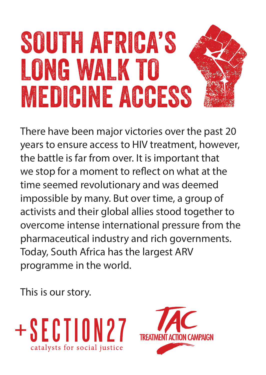## SOUTH AFRICA'S LONG WALK TO MEDICINE ACCESS

There have been major victories over the past 20 years to ensure access to HIV treatment, however, the battle is far from over. It is important that we stop for a moment to refect on what at the time seemed revolutionary and was deemed impossible by many. But over time, a group of activists and their global allies stood together to overcome intense international pressure from the pharmaceutical industry and rich governments. Today, South Africa has the largest ARV programme in the world.

This is our story.